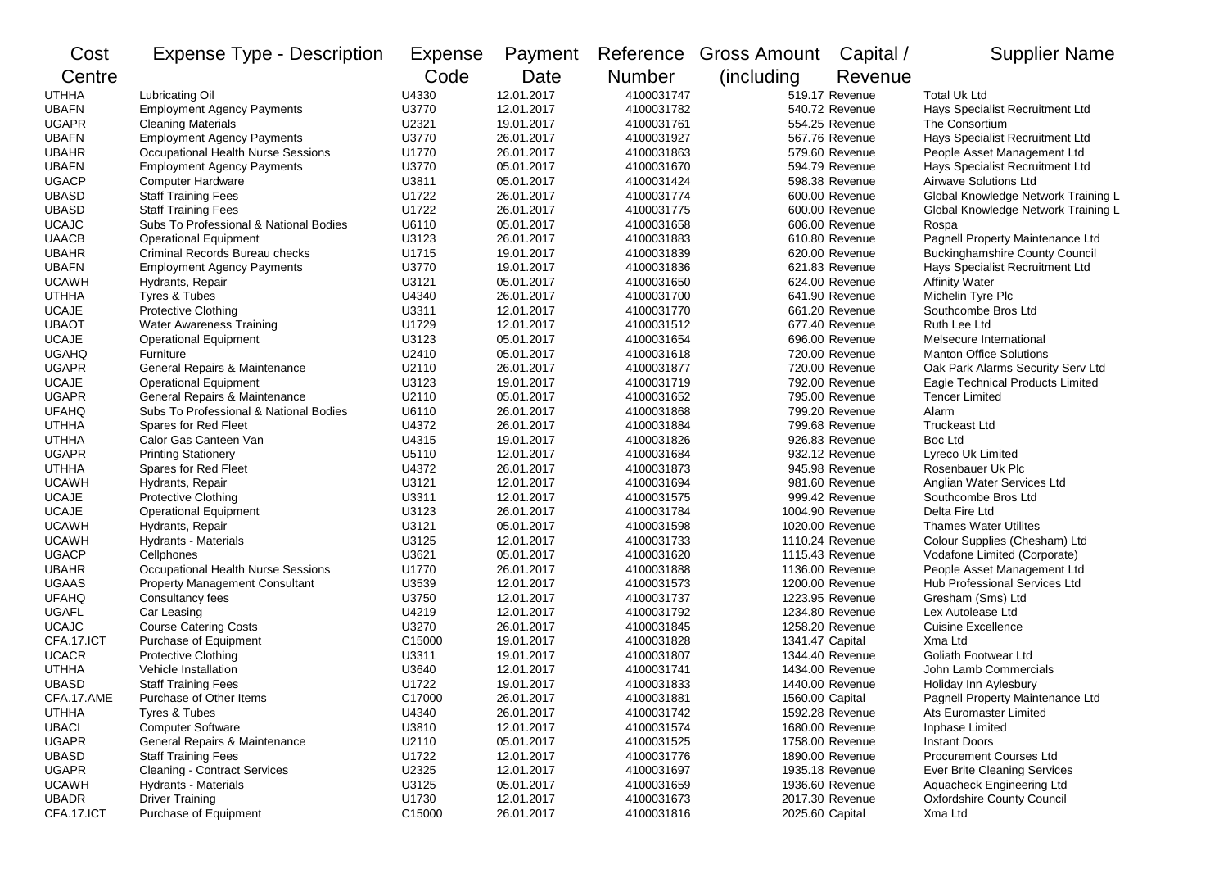| Cost         | <b>Expense Type - Description</b>      | <b>Expense</b> | Payment    |               | Reference Gross Amount | Capital /       | <b>Supplier Name</b>                  |
|--------------|----------------------------------------|----------------|------------|---------------|------------------------|-----------------|---------------------------------------|
| Centre       |                                        | Code           | Date       | <b>Number</b> | (including             | Revenue         |                                       |
| <b>UTHHA</b> | Lubricating Oil                        | U4330          | 12.01.2017 | 4100031747    |                        | 519.17 Revenue  | <b>Total Uk Ltd</b>                   |
| <b>UBAFN</b> | <b>Employment Agency Payments</b>      | U3770          | 12.01.2017 | 4100031782    |                        | 540.72 Revenue  | Hays Specialist Recruitment Ltd       |
| <b>UGAPR</b> | <b>Cleaning Materials</b>              | U2321          | 19.01.2017 | 4100031761    |                        | 554.25 Revenue  | The Consortium                        |
| <b>UBAFN</b> | <b>Employment Agency Payments</b>      | U3770          | 26.01.2017 | 4100031927    |                        | 567.76 Revenue  | Hays Specialist Recruitment Ltd       |
| <b>UBAHR</b> | Occupational Health Nurse Sessions     | U1770          | 26.01.2017 | 4100031863    |                        | 579.60 Revenue  | People Asset Management Ltd           |
| <b>UBAFN</b> | <b>Employment Agency Payments</b>      | U3770          | 05.01.2017 | 4100031670    |                        | 594.79 Revenue  | Hays Specialist Recruitment Ltd       |
| <b>UGACP</b> | <b>Computer Hardware</b>               | U3811          | 05.01.2017 | 4100031424    |                        | 598.38 Revenue  | Airwave Solutions Ltd                 |
| <b>UBASD</b> | <b>Staff Training Fees</b>             | U1722          | 26.01.2017 | 4100031774    |                        | 600.00 Revenue  | Global Knowledge Network Training L   |
| <b>UBASD</b> | <b>Staff Training Fees</b>             | U1722          | 26.01.2017 | 4100031775    |                        | 600.00 Revenue  | Global Knowledge Network Training L   |
| <b>UCAJC</b> | Subs To Professional & National Bodies | U6110          | 05.01.2017 | 4100031658    |                        | 606.00 Revenue  | Rospa                                 |
| <b>UAACB</b> | <b>Operational Equipment</b>           | U3123          | 26.01.2017 | 4100031883    |                        | 610.80 Revenue  | Pagnell Property Maintenance Ltd      |
| <b>UBAHR</b> | Criminal Records Bureau checks         | U1715          | 19.01.2017 | 4100031839    |                        | 620.00 Revenue  | <b>Buckinghamshire County Council</b> |
| <b>UBAFN</b> | <b>Employment Agency Payments</b>      | U3770          | 19.01.2017 | 4100031836    |                        | 621.83 Revenue  | Hays Specialist Recruitment Ltd       |
| <b>UCAWH</b> | Hydrants, Repair                       | U3121          | 05.01.2017 | 4100031650    |                        | 624.00 Revenue  | <b>Affinity Water</b>                 |
| <b>UTHHA</b> | Tyres & Tubes                          | U4340          | 26.01.2017 | 4100031700    |                        | 641.90 Revenue  | Michelin Tyre Plc                     |
| <b>UCAJE</b> | Protective Clothing                    | U3311          | 12.01.2017 | 4100031770    |                        | 661.20 Revenue  | Southcombe Bros Ltd                   |
| <b>UBAOT</b> | Water Awareness Training               | U1729          | 12.01.2017 | 4100031512    |                        | 677.40 Revenue  | Ruth Lee Ltd                          |
| <b>UCAJE</b> | <b>Operational Equipment</b>           | U3123          | 05.01.2017 | 4100031654    |                        | 696.00 Revenue  | Melsecure International               |
| <b>UGAHQ</b> | Furniture                              | U2410          | 05.01.2017 | 4100031618    |                        | 720.00 Revenue  | <b>Manton Office Solutions</b>        |
| <b>UGAPR</b> | General Repairs & Maintenance          | U2110          | 26.01.2017 | 4100031877    |                        | 720.00 Revenue  | Oak Park Alarms Security Serv Ltd     |
| <b>UCAJE</b> | <b>Operational Equipment</b>           | U3123          | 19.01.2017 | 4100031719    |                        | 792.00 Revenue  | Eagle Technical Products Limited      |
| <b>UGAPR</b> | General Repairs & Maintenance          | U2110          | 05.01.2017 | 4100031652    |                        | 795.00 Revenue  | <b>Tencer Limited</b>                 |
| <b>UFAHQ</b> | Subs To Professional & National Bodies | U6110          | 26.01.2017 | 4100031868    |                        | 799.20 Revenue  | Alarm                                 |
| <b>UTHHA</b> | Spares for Red Fleet                   | U4372          | 26.01.2017 | 4100031884    |                        | 799.68 Revenue  | Truckeast Ltd                         |
| <b>UTHHA</b> | Calor Gas Canteen Van                  | U4315          | 19.01.2017 | 4100031826    |                        | 926.83 Revenue  | Boc Ltd                               |
| <b>UGAPR</b> | <b>Printing Stationery</b>             | U5110          | 12.01.2017 | 4100031684    |                        | 932.12 Revenue  | Lyreco Uk Limited                     |
| <b>UTHHA</b> | Spares for Red Fleet                   | U4372          | 26.01.2017 | 4100031873    |                        | 945.98 Revenue  | Rosenbauer Uk Plc                     |
| <b>UCAWH</b> | Hydrants, Repair                       | U3121          | 12.01.2017 | 4100031694    |                        | 981.60 Revenue  | Anglian Water Services Ltd            |
| <b>UCAJE</b> | <b>Protective Clothing</b>             | U3311          | 12.01.2017 | 4100031575    |                        | 999.42 Revenue  | Southcombe Bros Ltd                   |
| <b>UCAJE</b> | <b>Operational Equipment</b>           | U3123          | 26.01.2017 | 4100031784    |                        | 1004.90 Revenue | Delta Fire Ltd                        |
| <b>UCAWH</b> | Hydrants, Repair                       | U3121          | 05.01.2017 | 4100031598    |                        | 1020.00 Revenue | Thames Water Utilites                 |
| <b>UCAWH</b> | <b>Hydrants - Materials</b>            | U3125          | 12.01.2017 | 4100031733    |                        | 1110.24 Revenue | Colour Supplies (Chesham) Ltd         |
| <b>UGACP</b> | Cellphones                             | U3621          | 05.01.2017 | 4100031620    |                        | 1115.43 Revenue | Vodafone Limited (Corporate)          |
| <b>UBAHR</b> | Occupational Health Nurse Sessions     | U1770          | 26.01.2017 | 4100031888    |                        | 1136.00 Revenue | People Asset Management Ltd           |
| <b>UGAAS</b> | <b>Property Management Consultant</b>  | U3539          | 12.01.2017 | 4100031573    |                        | 1200.00 Revenue | Hub Professional Services Ltd         |
| <b>UFAHQ</b> | Consultancy fees                       | U3750          | 12.01.2017 | 4100031737    |                        | 1223.95 Revenue | Gresham (Sms) Ltd                     |
| <b>UGAFL</b> | Car Leasing                            | U4219          | 12.01.2017 | 4100031792    |                        | 1234.80 Revenue | Lex Autolease Ltd                     |
| <b>UCAJC</b> | <b>Course Catering Costs</b>           | U3270          | 26.01.2017 | 4100031845    |                        | 1258.20 Revenue | <b>Cuisine Excellence</b>             |
| CFA.17.ICT   | Purchase of Equipment                  | C15000         | 19.01.2017 | 4100031828    | 1341.47 Capital        |                 | Xma Ltd                               |
| <b>UCACR</b> | <b>Protective Clothing</b>             | U3311          | 19.01.2017 | 4100031807    |                        | 1344.40 Revenue | Goliath Footwear Ltd                  |
| <b>UTHHA</b> | Vehicle Installation                   | U3640          | 12.01.2017 | 4100031741    |                        | 1434.00 Revenue | John Lamb Commercials                 |
| <b>UBASD</b> | <b>Staff Training Fees</b>             | U1722          | 19.01.2017 | 4100031833    |                        | 1440.00 Revenue | Holiday Inn Aylesbury                 |
| CFA.17.AME   | Purchase of Other Items                | C17000         | 26.01.2017 | 4100031881    | 1560.00 Capital        |                 | Pagnell Property Maintenance Ltd      |
| <b>UTHHA</b> | Tyres & Tubes                          | U4340          | 26.01.2017 | 4100031742    |                        | 1592.28 Revenue | Ats Euromaster Limited                |
| <b>UBACI</b> | <b>Computer Software</b>               | U3810          | 12.01.2017 | 4100031574    |                        | 1680.00 Revenue | Inphase Limited                       |
| <b>UGAPR</b> | General Repairs & Maintenance          | U2110          | 05.01.2017 | 4100031525    |                        | 1758.00 Revenue | <b>Instant Doors</b>                  |
| <b>UBASD</b> | <b>Staff Training Fees</b>             | U1722          | 12.01.2017 | 4100031776    |                        | 1890.00 Revenue | Procurement Courses Ltd               |
| <b>UGAPR</b> | <b>Cleaning - Contract Services</b>    | U2325          | 12.01.2017 | 4100031697    |                        | 1935.18 Revenue | Ever Brite Cleaning Services          |
| <b>UCAWH</b> | <b>Hydrants - Materials</b>            | U3125          | 05.01.2017 | 4100031659    |                        | 1936.60 Revenue | Aquacheck Engineering Ltd             |
| <b>UBADR</b> | <b>Driver Training</b>                 | U1730          | 12.01.2017 | 4100031673    |                        | 2017.30 Revenue | <b>Oxfordshire County Council</b>     |
| CFA.17.ICT   | Purchase of Equipment                  | C15000         | 26.01.2017 | 4100031816    | 2025.60 Capital        |                 | Xma Ltd                               |